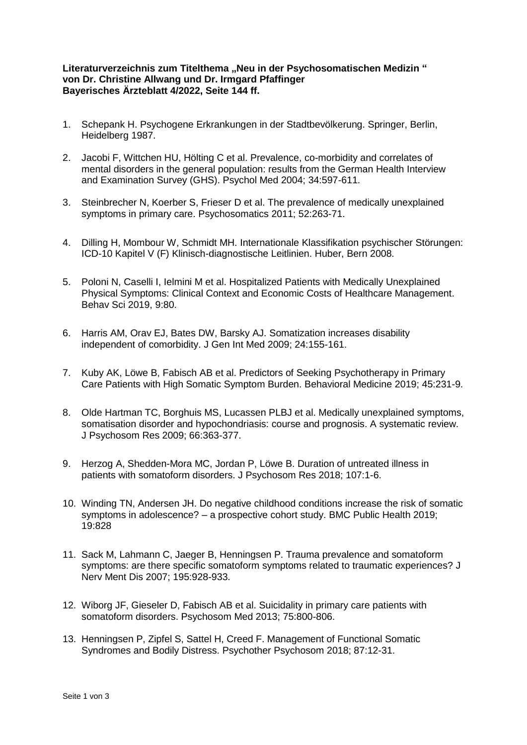## Literaturverzeichnis zum Titelthema "Neu in der Psychosomatischen Medizin" **von Dr. Christine Allwang und Dr. Irmgard Pfaffinger Bayerisches Ärzteblatt 4/2022, Seite 144 ff.**

- 1. Schepank H. Psychogene Erkrankungen in der Stadtbevölkerung. Springer, Berlin, Heidelberg 1987.
- 2. Jacobi F, Wittchen HU, Hölting C et al. Prevalence, co-morbidity and correlates of mental disorders in the general population: results from the German Health Interview and Examination Survey (GHS). Psychol Med 2004; 34:597-611.
- 3. Steinbrecher N, Koerber S, Frieser D et al. The prevalence of medically unexplained symptoms in primary care. Psychosomatics 2011; 52:263-71.
- 4. Dilling H, Mombour W, Schmidt MH. Internationale Klassifikation psychischer Störungen: ICD-10 Kapitel V (F) Klinisch-diagnostische Leitlinien. Huber, Bern 2008.
- 5. Poloni N, Caselli I, Ielmini M et al. Hospitalized Patients with Medically Unexplained Physical Symptoms: Clinical Context and Economic Costs of Healthcare Management. Behav Sci 2019, 9:80.
- 6. Harris AM, Orav EJ, Bates DW, Barsky AJ. Somatization increases disability independent of comorbidity. J Gen Int Med 2009; 24:155-161.
- 7. Kuby AK, Löwe B, Fabisch AB et al. Predictors of Seeking Psychotherapy in Primary Care Patients with High Somatic Symptom Burden. Behavioral Medicine 2019; 45:231-9.
- 8. Olde Hartman TC, Borghuis MS, Lucassen PLBJ et al. Medically unexplained symptoms, somatisation disorder and hypochondriasis: course and prognosis. A systematic review. J Psychosom Res 2009; 66:363-377.
- 9. Herzog A, Shedden-Mora MC, Jordan P, Löwe B. Duration of untreated illness in patients with somatoform disorders. J Psychosom Res 2018; 107:1-6.
- 10. Winding TN, Andersen JH. Do negative childhood conditions increase the risk of somatic symptoms in adolescence? – a prospective cohort study. BMC Public Health 2019; 19:828
- 11. Sack M, Lahmann C, Jaeger B, Henningsen P. Trauma prevalence and somatoform symptoms: are there specific somatoform symptoms related to traumatic experiences? J Nerv Ment Dis 2007; 195:928-933.
- 12. Wiborg JF, Gieseler D, Fabisch AB et al. Suicidality in primary care patients with somatoform disorders. Psychosom Med 2013; 75:800-806.
- 13. Henningsen P, Zipfel S, Sattel H, Creed F. Management of Functional Somatic Syndromes and Bodily Distress. Psychother Psychosom 2018; 87:12-31.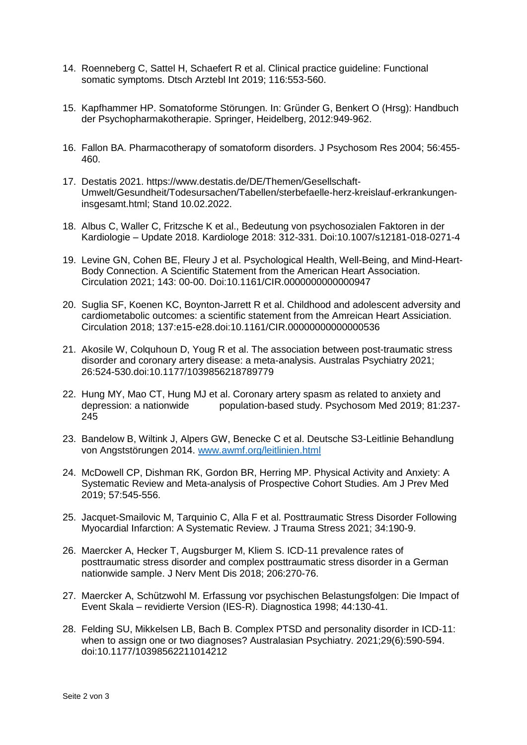- 14. Roenneberg C, Sattel H, Schaefert R et al. Clinical practice guideline: Functional somatic symptoms. Dtsch Arztebl Int 2019; 116:553-560.
- 15. Kapfhammer HP. Somatoforme Störungen. In: Gründer G, Benkert O (Hrsg): Handbuch der Psychopharmakotherapie. Springer, Heidelberg, 2012:949-962.
- 16. Fallon BA. Pharmacotherapy of somatoform disorders. J Psychosom Res 2004; 56:455- 460.
- 17. Destatis 2021. https://www.destatis.de/DE/Themen/Gesellschaft-Umwelt/Gesundheit/Todesursachen/Tabellen/sterbefaelle-herz-kreislauf-erkrankungeninsgesamt.html; Stand 10.02.2022.
- 18. Albus C, Waller C, Fritzsche K et al., Bedeutung von psychosozialen Faktoren in der Kardiologie – Update 2018. Kardiologe 2018: 312-331. Doi:10.1007/s12181-018-0271-4
- 19. Levine GN, Cohen BE, Fleury J et al. Psychological Health, Well-Being, and Mind-Heart-Body Connection. A Scientific Statement from the American Heart Association. Circulation 2021; 143: 00-00. Doi:10.1161/CIR.0000000000000947
- 20. Suglia SF, Koenen KC, Boynton-Jarrett R et al. Childhood and adolescent adversity and cardiometabolic outcomes: a scientific statement from the Amreican Heart Assiciation. Circulation 2018; 137:e15-e28.doi:10.1161/CIR.00000000000000536
- 21. Akosile W, Colquhoun D, Youg R et al. The association between post-traumatic stress disorder and coronary artery disease: a meta-analysis. Australas Psychiatry 2021; 26:524-530.doi:10.1177/1039856218789779
- 22. Hung MY, Mao CT, Hung MJ et al. Coronary artery spasm as related to anxiety and depression: a nationwide population-based study. Psychosom Med 2019; 81:237- 245
- 23. Bandelow B, Wiltink J, Alpers GW, Benecke C et al. Deutsche S3-Leitlinie Behandlung von Angststörungen 2014. [www.awmf.org/leitlinien.html](http://www.awmf.org/leitlinien.html)
- 24. McDowell CP, Dishman RK, Gordon BR, Herring MP. Physical Activity and Anxiety: A Systematic Review and Meta-analysis of Prospective Cohort Studies. Am J Prev Med 2019; 57:545-556.
- 25. Jacquet-Smailovic M, Tarquinio C, Alla F et al. Posttraumatic Stress Disorder Following Myocardial Infarction: A Systematic Review. J Trauma Stress 2021; 34:190-9.
- 26. Maercker A, Hecker T, Augsburger M, Kliem S. ICD-11 prevalence rates of posttraumatic stress disorder and complex posttraumatic stress disorder in a German nationwide sample. J Nerv Ment Dis 2018; 206:270-76.
- 27. Maercker A, Schützwohl M. Erfassung vor psychischen Belastungsfolgen: Die Impact of Event Skala – revidierte Version (IES-R). Diagnostica 1998; 44:130-41.
- 28. Felding SU, Mikkelsen LB, Bach B. Complex PTSD and personality disorder in ICD-11: when to assign one or two diagnoses? Australasian Psychiatry, 2021;29(6):590-594. doi[:10.1177/10398562211014212](https://doi.org/10.1177/10398562211014212)